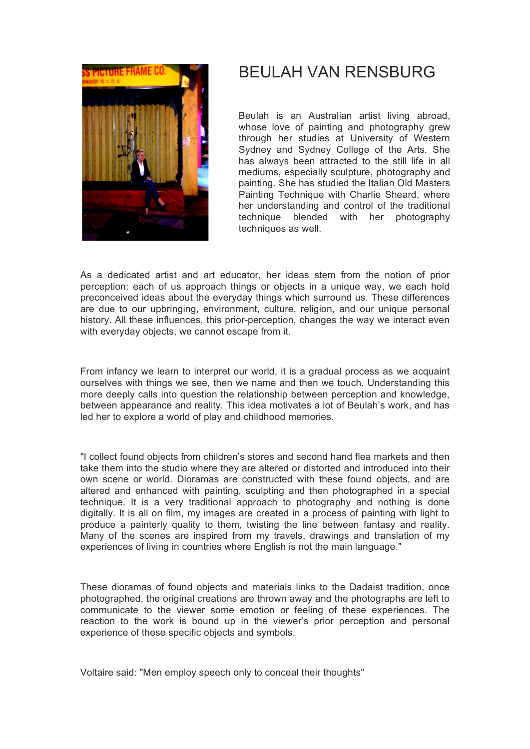

# BEULAH VAN RENSBURG

Beulah is an Australian artist living abroad, whose love of painting and photography grew through her studies at University of Western Sydney and Sydney College of the Arts. She has always been attracted to the still life in all mediums, especially sculpture, photography and painting. She has studied the Italian Old Masters Painting Technique with Charlie Sheard, where her understanding and control of the traditional technique blended with her photography techniques as well.

As a dedicated artist and art educator, her ideas stem from the notion of prior perception: each of us approach things or objects in a unique way, we each hold preconceived ideas about the everyday things which surround us. These differences are due to our upbringing, environment, culture, religion, and our unique personal history. All these influences, this prior-perception, changes the way we interact even with everyday objects, we cannot escape from it.

From infancy we learn to interpret our world, it is a gradual process as we acquaint ourselves with things we see, then we name and then we touch. Understanding this more deeply calls into question the relationship between perception and knowledge, between appearance and reality. This idea motivates a lot of Beulah's work, and has led her to explore a world of play and childhood memories.

"I collect found objects from children's stores and second hand flea markets and then take them into the studio where they are altered or distorted and introduced into their own scene or world. Dioramas are constructed with these found objects, and are altered and enhanced with painting, sculpting and then photographed in a special technique. It is a very traditional approach to photography and nothing is done digitally. It is all on film, my images are created in a process of painting with light to produce a painterly quality to them, twisting the line between fantasy and reality. Many of the scenes are inspired from my travels, drawings and translation of my experiences of living in countries where English is not the main language."

These dioramas of found objects and materials links to the Dadaist tradition, once photographed, the original creations are thrown away and the photographs are left to communicate to the viewer some emotion or feeling of these experiences. The reaction to the work is bound up in the viewer's prior perception and personal experience of these specific objects and symbols.

Voltaire said: "Men employ speech only to conceal their thoughts"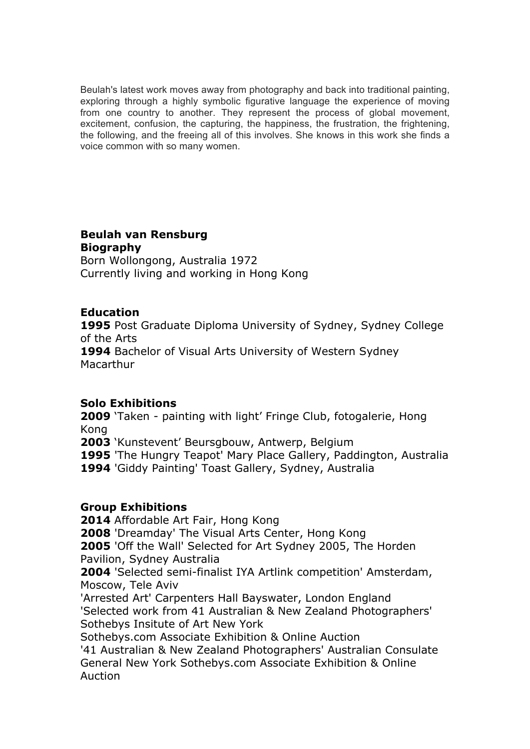Beulah's latest work moves away from photography and back into traditional painting, exploring through a highly symbolic figurative language the experience of moving from one country to another. They represent the process of global movement, excitement, confusion, the capturing, the happiness, the frustration, the frightening, the following, and the freeing all of this involves. She knows in this work she finds a voice common with so many women.

## **Beulah van Rensburg Biography**

Born Wollongong, Australia 1972 Currently living and working in Hong Kong

### **Education**

**1995** Post Graduate Diploma University of Sydney, Sydney College of the Arts **1994** Bachelor of Visual Arts University of Western Sydney Macarthur

### **Solo Exhibitions**

**2009** 'Taken - painting with light' Fringe Club, fotogalerie, Hong Kong

**2003** 'Kunstevent' Beursgbouw, Antwerp, Belgium

**1995** 'The Hungry Teapot' Mary Place Gallery, Paddington, Australia

**1994** 'Giddy Painting' Toast Gallery, Sydney, Australia

### **Group Exhibitions**

**2014** Affordable Art Fair, Hong Kong

**2008** 'Dreamday' The Visual Arts Center, Hong Kong

**2005** 'Off the Wall' Selected for Art Sydney 2005, The Horden Pavilion, Sydney Australia

**2004** 'Selected semi-finalist IYA Artlink competition' Amsterdam, Moscow, Tele Aviv

'Arrested Art' Carpenters Hall Bayswater, London England 'Selected work from 41 Australian & New Zealand Photographers' Sothebys Insitute of Art New York

Sothebys.com Associate Exhibition & Online Auction '41 Australian & New Zealand Photographers' Australian Consulate General New York Sothebys.com Associate Exhibition & Online

Auction